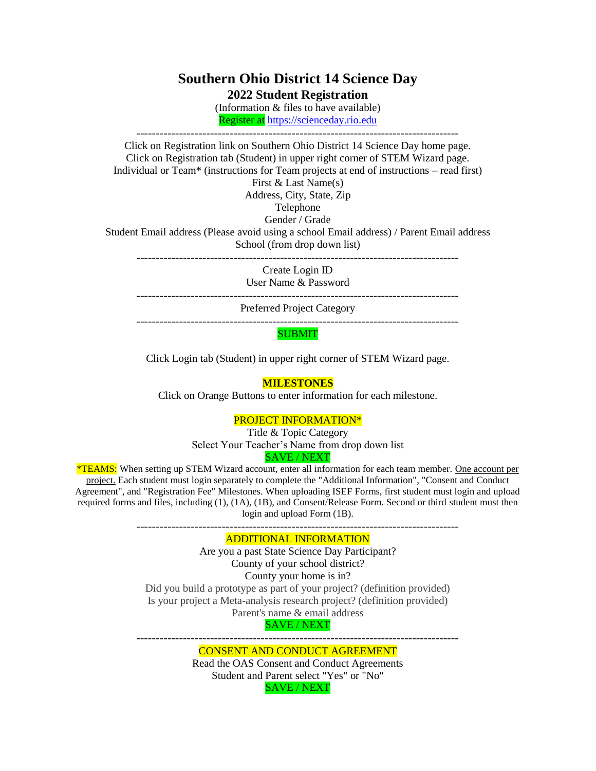## **Southern Ohio District 14 Science Day 2022 Student Registration**

(Information & files to have available) Register at [https://scienceday.rio.edu](https://scienceday.rio.edu/)

-----------------------------------------------------------------------------------

Click on Registration link on Southern Ohio District 14 Science Day home page. Click on Registration tab (Student) in upper right corner of STEM Wizard page. Individual or Team\* (instructions for Team projects at end of instructions – read first) First & Last Name(s)

Address, City, State, Zip

# Telephone

Gender / Grade

Student Email address (Please avoid using a school Email address) / Parent Email address School (from drop down list)

-----------------------------------------------------------------------------------

Create Login ID User Name & Password

-----------------------------------------------------------------------------------

Preferred Project Category

-----------------------------------------------------------------------------------

### SUBMIT

Click Login tab (Student) in upper right corner of STEM Wizard page.

#### **MILESTONES**

Click on Orange Buttons to enter information for each milestone.

### PROJECT INFORMATION\*

Title & Topic Category Select Your Teacher's Name from drop down list SAVE / NEXT

\*TEAMS: When setting up STEM Wizard account, enter all information for each team member. One account per project. Each student must login separately to complete the "Additional Information", "Consent and Conduct Agreement", and "Registration Fee" Milestones. When uploading ISEF Forms, first student must login and upload required forms and files, including (1), (1A), (1B), and Consent/Release Form. Second or third student must then login and upload Form (1B).

-----------------------------------------------------------------------------------

#### ADDITIONAL INFORMATION

Are you a past State Science Day Participant? County of your school district? County your home is in? Did you build a prototype as part of your project? (definition provided) Is your project a Meta-analysis research project? (definition provided) Parent's name & email address SAVE / NEXT

#### ----------------------------------------------------------------------------------- CONSENT AND CONDUCT AGREEMENT

Read the OAS Consent and Conduct Agreements Student and Parent select "Yes" or "No" SAVE / NEXT